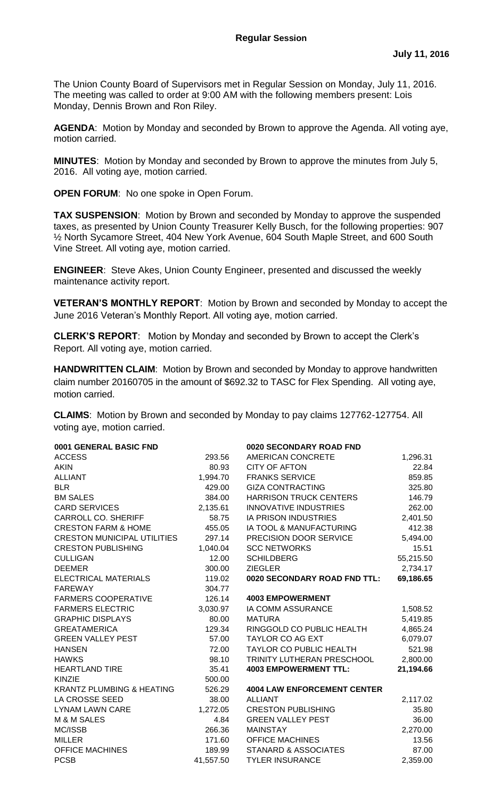The Union County Board of Supervisors met in Regular Session on Monday, July 11, 2016. The meeting was called to order at 9:00 AM with the following members present: Lois Monday, Dennis Brown and Ron Riley.

**AGENDA**: Motion by Monday and seconded by Brown to approve the Agenda. All voting aye, motion carried.

**MINUTES**: Motion by Monday and seconded by Brown to approve the minutes from July 5, 2016. All voting aye, motion carried.

**OPEN FORUM**: No one spoke in Open Forum.

**TAX SUSPENSION**: Motion by Brown and seconded by Monday to approve the suspended taxes, as presented by Union County Treasurer Kelly Busch, for the following properties: 907 ½ North Sycamore Street, 404 New York Avenue, 604 South Maple Street, and 600 South Vine Street. All voting aye, motion carried.

**ENGINEER**: Steve Akes, Union County Engineer, presented and discussed the weekly maintenance activity report.

**VETERAN'S MONTHLY REPORT**: Motion by Brown and seconded by Monday to accept the June 2016 Veteran's Monthly Report. All voting aye, motion carried.

**CLERK'S REPORT**: Motion by Monday and seconded by Brown to accept the Clerk's Report. All voting aye, motion carried.

**HANDWRITTEN CLAIM**:Motion by Brown and seconded by Monday to approve handwritten claim number 20160705 in the amount of \$692.32 to TASC for Flex Spending. All voting aye, motion carried.

**CLAIMS**: Motion by Brown and seconded by Monday to pay claims 127762-127754. All voting aye, motion carried.

| 0001 GENERAL BASIC FND               |           | 0020 SECONDARY ROAD FND            |           |
|--------------------------------------|-----------|------------------------------------|-----------|
| <b>ACCESS</b>                        | 293.56    | AMERICAN CONCRETE                  | 1,296.31  |
| <b>AKIN</b>                          | 80.93     | <b>CITY OF AFTON</b>               | 22.84     |
| <b>ALLIANT</b>                       | 1,994.70  | <b>FRANKS SERVICE</b>              | 859.85    |
| <b>BLR</b>                           | 429.00    | <b>GIZA CONTRACTING</b>            | 325.80    |
| <b>BM SALES</b>                      | 384.00    | <b>HARRISON TRUCK CENTERS</b>      | 146.79    |
| <b>CARD SERVICES</b>                 | 2,135.61  | <b>INNOVATIVE INDUSTRIES</b>       | 262.00    |
| CARROLL CO. SHERIFF                  | 58.75     | <b>IA PRISON INDUSTRIES</b>        | 2,401.50  |
| <b>CRESTON FARM &amp; HOME</b>       | 455.05    | IA TOOL & MANUFACTURING            | 412.38    |
| <b>CRESTON MUNICIPAL UTILITIES</b>   | 297.14    | PRECISION DOOR SERVICE             | 5,494.00  |
| <b>CRESTON PUBLISHING</b>            | 1,040.04  | <b>SCC NETWORKS</b>                | 15.51     |
| <b>CULLIGAN</b>                      | 12.00     | <b>SCHILDBERG</b>                  | 55,215.50 |
| <b>DEEMER</b>                        | 300.00    | <b>ZIEGLER</b>                     | 2,734.17  |
| ELECTRICAL MATERIALS                 | 119.02    | 0020 SECONDARY ROAD FND TTL:       | 69,186.65 |
| <b>FAREWAY</b>                       | 304.77    |                                    |           |
| <b>FARMERS COOPERATIVE</b>           | 126.14    | <b>4003 EMPOWERMENT</b>            |           |
| <b>FARMERS ELECTRIC</b>              | 3,030.97  | IA COMM ASSURANCE                  | 1,508.52  |
| <b>GRAPHIC DISPLAYS</b>              | 80.00     | <b>MATURA</b>                      | 5,419.85  |
| <b>GREATAMERICA</b>                  | 129.34    | RINGGOLD CO PUBLIC HEALTH          | 4,865.24  |
| <b>GREEN VALLEY PEST</b>             | 57.00     | <b>TAYLOR CO AG EXT</b>            | 6,079.07  |
| <b>HANSEN</b>                        | 72.00     | TAYLOR CO PUBLIC HEALTH            | 521.98    |
| <b>HAWKS</b>                         | 98.10     | TRINITY LUTHERAN PRESCHOOL         | 2,800.00  |
| <b>HEARTLAND TIRE</b>                | 35.41     | <b>4003 EMPOWERMENT TTL:</b>       | 21,194.66 |
| <b>KINZIE</b>                        | 500.00    |                                    |           |
| <b>KRANTZ PLUMBING &amp; HEATING</b> | 526.29    | <b>4004 LAW ENFORCEMENT CENTER</b> |           |
| LA CROSSE SEED                       | 38.00     | <b>ALLIANT</b>                     | 2,117.02  |
| <b>LYNAM LAWN CARE</b>               | 1,272.05  | <b>CRESTON PUBLISHING</b>          | 35.80     |
| M & M SALES                          | 4.84      | <b>GREEN VALLEY PEST</b>           | 36.00     |
| MC/ISSB                              | 266.36    | <b>MAINSTAY</b>                    | 2,270.00  |
| <b>MILLER</b>                        | 171.60    | <b>OFFICE MACHINES</b>             | 13.56     |
| <b>OFFICE MACHINES</b>               | 189.99    | STANARD & ASSOCIATES               | 87.00     |
| <b>PCSB</b>                          | 41,557.50 | <b>TYLER INSURANCE</b>             | 2,359.00  |